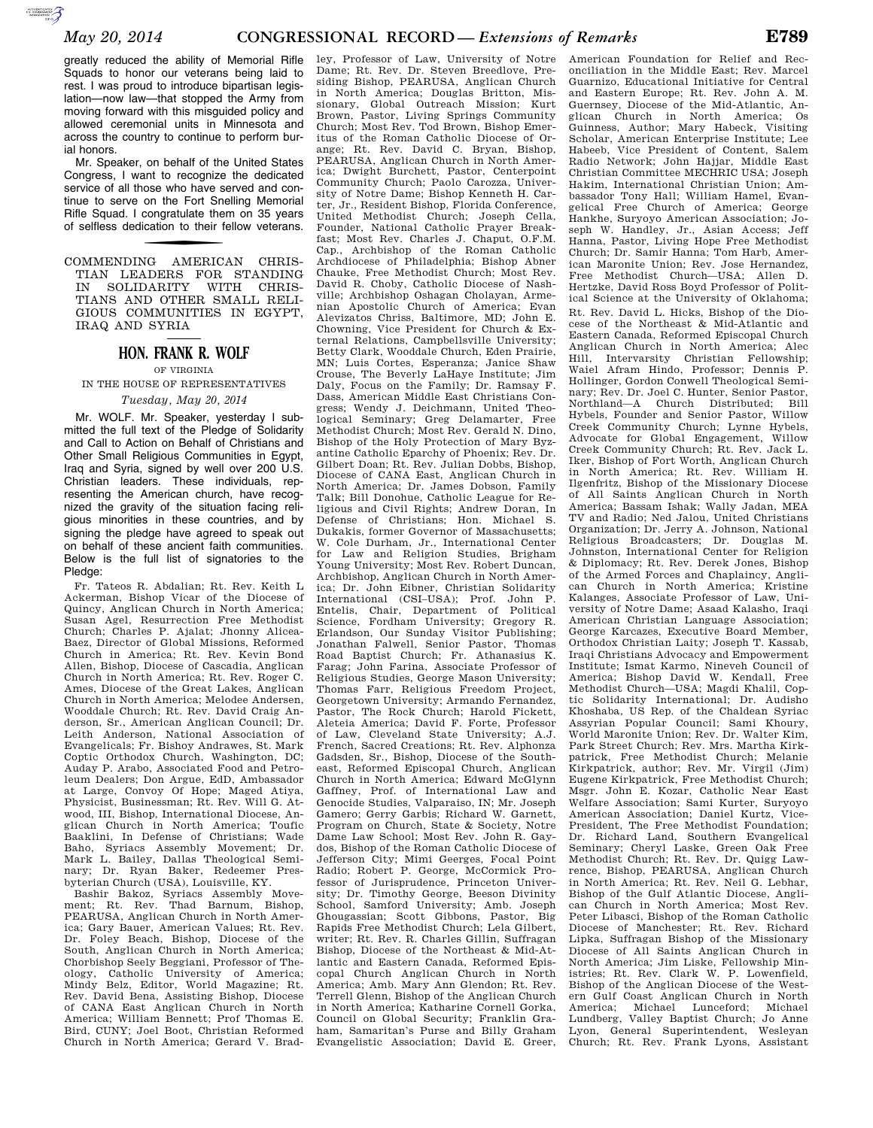greatly reduced the ability of Memorial Rifle Squads to honor our veterans being laid to rest. I was proud to introduce bipartisan legislation—now law—that stopped the Army from moving forward with this misguided policy and allowed ceremonial units in Minnesota and across the country to continue to perform burial honors.

Mr. Speaker, on behalf of the United States Congress, I want to recognize the dedicated service of all those who have served and continue to serve on the Fort Snelling Memorial Rifle Squad. I congratulate them on 35 years of selfless dedication to their fellow veterans.

COMMENDING AMERICAN CHRIS-TIAN LEADERS FOR STANDING IN SOLIDARITY WITH CHRIS-TIANS AND OTHER SMALL RELI-GIOUS COMMUNITIES IN EGYPT, IRAQ AND SYRIA

## **HON. FRANK R. WOLF**

OF VIRGINIA IN THE HOUSE OF REPRESENTATIVES

## *Tuesday, May 20, 2014*

Mr. WOLF. Mr. Speaker, yesterday I submitted the full text of the Pledge of Solidarity and Call to Action on Behalf of Christians and Other Small Religious Communities in Egypt, Iraq and Syria, signed by well over 200 U.S. Christian leaders. These individuals, representing the American church, have recognized the gravity of the situation facing religious minorities in these countries, and by signing the pledge have agreed to speak out on behalf of these ancient faith communities. Below is the full list of signatories to the Pledge:

Fr. Tateos R. Abdalian; Rt. Rev. Keith L Ackerman, Bishop Vicar of the Diocese of Quincy, Anglican Church in North America; Susan Agel, Resurrection Free Methodist Church; Charles P. Ajalat; Jhonny Alicea-Baez, Director of Global Missions, Reformed Church in America; Rt. Rev. Kevin Bond Allen, Bishop, Diocese of Cascadia, Anglican Church in North America; Rt. Rev. Roger C. Ames, Diocese of the Great Lakes, Anglican Church in North America; Melodee Andersen, Wooddale Church; Rt. Rev. David Craig Anderson, Sr., American Anglican Council; Dr. Leith Anderson, National Association of Evangelicals; Fr. Bishoy Andrawes, St. Mark Coptic Orthodox Church, Washington, DC; Auday P. Arabo, Associated Food and Petroleum Dealers; Don Argue, EdD, Ambassador at Large, Convoy Of Hope; Maged Atiya, Physicist, Businessman; Rt. Rev. Will G. Atwood, III, Bishop, International Diocese, Anglican Church in North America; Toufic Baaklini, In Defense of Christians; Wade Baho, Syriacs Assembly Movement; Dr. Mark L. Bailey, Dallas Theological Seminary; Dr. Ryan Baker, Redeemer Presbyterian Church (USA), Louisville, KY.

Bashir Bakoz, Syriacs Assembly Movement; Rt. Rev. Thad Barnum, Bishop, PEARUSA, Anglican Church in North America; Gary Bauer, American Values; Rt. Rev. Dr. Foley Beach, Bishop, Diocese of the South, Anglican Church in North America; Chorbishop Seely Beggiani, Professor of Theology, Catholic University of America; Mindy Belz, Editor, World Magazine; Rt. Rev. David Bena, Assisting Bishop, Diocese of CANA East Anglican Church in North America; William Bennett; Prof Thomas E. Bird, CUNY; Joel Boot, Christian Reformed Church in North America; Gerard V. Brad-

ley, Professor of Law, University of Notre Dame; Rt. Rev. Dr. Steven Breedlove, Presiding Bishop, PEARUSA, Anglican Church in North America; Douglas Britton, Missionary, Global Outreach Mission; Kurt Brown, Pastor, Living Springs Community Church; Most Rev. Tod Brown, Bishop Emeritus of the Roman Catholic Diocese of Orange; Rt. Rev. David C. Bryan, Bishop, PEARUSA, Anglican Church in North America; Dwight Burchett, Pastor, Centerpoint Community Church; Paolo Carozza, University of Notre Dame; Bishop Kenneth H. Carter, Jr., Resident Bishop, Florida Conference, United Methodist Church; Joseph Cella, Founder, National Catholic Prayer Breakfast; Most Rev. Charles J. Chaput, O.F.M. Cap., Archbishop of the Roman Catholic Archdiocese of Philadelphia; Bishop Abner Chauke, Free Methodist Church; Most Rev. David R. Choby, Catholic Diocese of Nashville; Archbishop Oshagan Cholayan, Armenian Apostolic Church of America; Evan Alevizatos Chriss, Baltimore, MD; John E. Chowning, Vice President for Church & External Relations, Campbellsville University; Betty Clark, Wooddale Church, Eden Prairie, MN; Luis Cortes, Esperanza; Janice Shaw Crouse, The Beverly LaHaye Institute; Jim Daly, Focus on the Family; Dr. Ramsay F. Dass, American Middle East Christians Congress; Wendy J. Deichmann, United Theological Seminary; Greg Delamarter, Free Methodist Church; Most Rev. Gerald N. Dino, Bishop of the Holy Protection of Mary Byzantine Catholic Eparchy of Phoenix; Rev. Dr. Gilbert Doan; Rt. Rev. Julian Dobbs, Bishop, Diocese of CANA East, Anglican Church in North America; Dr. James Dobson, Family Talk; Bill Donohue, Catholic League for Religious and Civil Rights; Andrew Doran, In Defense of Christians; Hon. Michael S. Dukakis, former Governor of Massachusetts; W. Cole Durham, Jr., International Center for Law and Religion Studies, Brigham Young University; Most Rev. Robert Duncan, Archbishop, Anglican Church in North America; Dr. John Eibner, Christian Solidarity International (CSI–USA); Prof. John P. Entelis, Chair, Department of Political Science, Fordham University; Gregory R. Erlandson, Our Sunday Visitor Publishing; Jonathan Falwell, Senior Pastor, Thomas Road Baptist Church; Fr. Athanasius K. Farag; John Farina, Associate Professor of Religious Studies, George Mason University; Thomas Farr, Religious Freedom Project, Georgetown University; Armando Fernandez, Pastor, The Rock Church; Harold Fickett, Aleteia America; David F. Forte, Professor of Law, Cleveland State University; A.J. French, Sacred Creations; Rt. Rev. Alphonza Gadsden, Sr., Bishop, Diocese of the Southeast, Reformed Episcopal Church, Anglican Church in North America; Edward McGlynn Gaffney, Prof. of International Law and Genocide Studies, Valparaiso, IN; Mr. Joseph Gamero; Gerry Garbis; Richard W. Garnett, Program on Church, State & Society, Notre Dame Law School; Most Rev. John R. Gaydos, Bishop of the Roman Catholic Diocese of Jefferson City; Mimi Geerges, Focal Point Radio; Robert P. George, McCormick Professor of Jurisprudence, Princeton University; Dr. Timothy George, Beeson Divinity School, Samford University; Amb. Joseph Ghougassian; Scott Gibbons, Pastor, Big Rapids Free Methodist Church; Lela Gilbert, writer; Rt. Rev. R. Charles Gillin, Suffragan Bishop, Diocese of the Northeast & Mid-Atlantic and Eastern Canada, Reformed Episcopal Church Anglican Church in North America; Amb. Mary Ann Glendon; Rt. Rev. Terrell Glenn, Bishop of the Anglican Church in North America; Katharine Cornell Gorka, Council on Global Security; Franklin Graham, Samaritan's Purse and Billy Graham Evangelistic Association; David E. Greer,

American Foundation for Relief and Reconciliation in the Middle East; Rev. Marcel Guarnizo, Educational Initiative for Central and Eastern Europe; Rt. Rev. John A. M. Guernsey, Diocese of the Mid-Atlantic, Anglican Church in North America; Os Guinness, Author; Mary Habeck, Visiting Scholar, American Enterprise Institute; Lee Habeeb, Vice President of Content, Salem Radio Network; John Hajjar, Middle East Christian Committee MECHRIC USA; Joseph Hakim, International Christian Union; Ambassador Tony Hall; William Hamel, Evangelical Free Church of America; George Hankhe, Suryoyo American Association; Joseph W. Handley, Jr., Asian Access; Jeff Hanna, Pastor, Living Hope Free Methodist Church; Dr. Samir Hanna; Tom Harb, American Maronite Union; Rev. Jose Hernandez, Free Methodist Church—USA; Allen D. Hertzke, David Ross Boyd Professor of Political Science at the University of Oklahoma; Rt. Rev. David L. Hicks, Bishop of the Diocese of the Northeast & Mid-Atlantic and Eastern Canada, Reformed Episcopal Church Anglican Church in North America; Alec Hill, Intervarsity Christian Fellowship; Waiel Afram Hindo, Professor; Dennis P. Hollinger, Gordon Conwell Theological Seminary; Rev. Dr. Joel C. Hunter, Senior Pastor, Northland—A Church Distributed; Bill Hybels, Founder and Senior Pastor, Willow Creek Community Church; Lynne Hybels, Advocate for Global Engagement, Willow Creek Community Church; Rt. Rev. Jack L. Iker, Bishop of Fort Worth, Anglican Church in North America; Rt. Rev. William H. Ilgenfritz, Bishop of the Missionary Diocese of All Saints Anglican Church in North America; Bassam Ishak; Wally Jadan, MEA TV and Radio; Ned Jalou, United Christians Organization; Dr. Jerry A. Johnson, National Religious Broadcasters; Dr. Douglas M. Johnston, International Center for Religion & Diplomacy; Rt. Rev. Derek Jones, Bishop of the Armed Forces and Chaplaincy, Anglican Church in North America; Kristine Kalanges, Associate Professor of Law, University of Notre Dame; Asaad Kalasho, Iraqi American Christian Language Association; George Karcazes, Executive Board Member, Orthodox Christian Laity; Joseph T. Kassab, Iraqi Christians Advocacy and Empowerment Institute; Ismat Karmo, Nineveh Council of America; Bishop David W. Kendall, Free Methodist Church—USA; Magdi Khalil, Coptic Solidarity International; Dr. Audisho Khoshaba, US Rep. of the Chaldean Syriac Assyrian Popular Council; Sami Khoury, World Maronite Union; Rev. Dr. Walter Kim, Park Street Church; Rev. Mrs. Martha Kirkpatrick, Free Methodist Church; Melanie Kirkpatrick, author; Rev. Mr. Virgil (Jim) Eugene Kirkpatrick, Free Methodist Church; Msgr. John E. Kozar, Catholic Near East Welfare Association; Sami Kurter, Suryoyo American Association; Daniel Kurtz, Vice-President, The Free Methodist Foundation; Dr. Richard Land, Southern Evangelical Seminary; Cheryl Laske, Green Oak Free Methodist Church; Rt. Rev. Dr. Quigg Lawrence, Bishop, PEARUSA, Anglican Church in North America; Rt. Rev. Neil G. Lebhar, Bishop of the Gulf Atlantic Diocese, Anglican Church in North America; Most Rev. Peter Libasci, Bishop of the Roman Catholic Diocese of Manchester; Rt. Rev. Richard Lipka, Suffragan Bishop of the Missionary Diocese of All Saints Anglican Church in North America; Jim Liske, Fellowship Ministries; Rt. Rev. Clark W. P. Lowenfield, Bishop of the Anglican Diocese of the Western Gulf Coast Anglican Church in North America; Michael Lunceford; Michael Lundberg, Valley Baptist Church; Jo Anne Lyon, General Superintendent, Wesleyan Church; Rt. Rev. Frank Lyons, Assistant